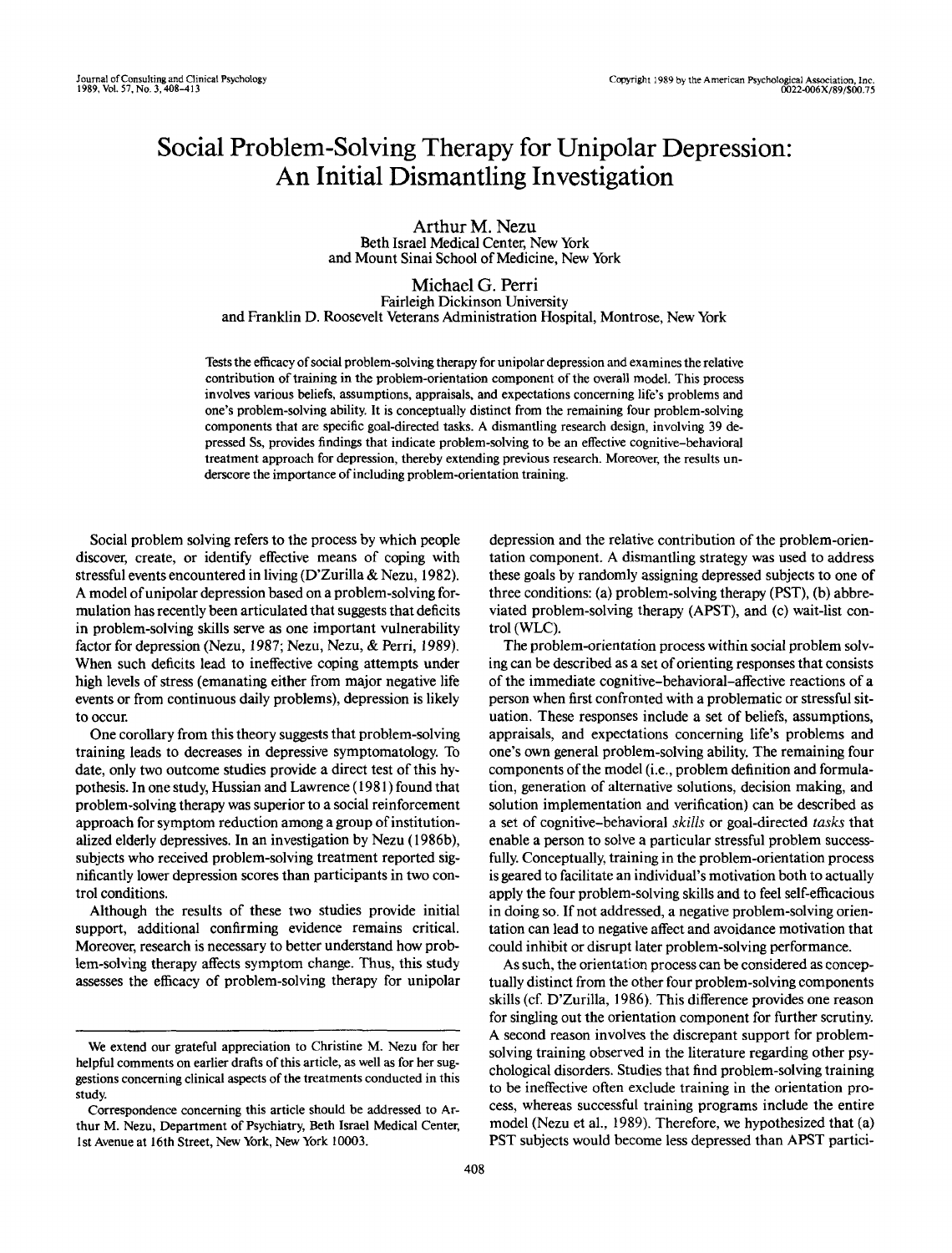# Social Problem-Solving Therapy for Unipolar Depression: An Initial Dismantling Investigation

Arthur M. Nezu Beth Israel Medical Center, New York and Mount Sinai School of Medicine, New York

Michael G. Perri Fairleigh Dickinson University and Franklin D. Roosevelt Veterans Administration Hospital, Montrose, New York

Tests the efficacy of social problem-solving therapy for unipolar depression and examines the relative contribution of training in the problem-orientation component of the overall model. This process involves various beliefs, assumptions, appraisals, and expectations concerning life's problems and one's problem-solving ability. It is conceptually distinct from the remaining four problem-solving components that are specific goal-directed tasks. A dismantling research design, involving 39 depressed Ss, provides findings that indicate problem-solving to be an effective cognitive-behavioral treatment approach for depression, thereby extending previous research. Moreover, the results underscore the importance of including problem-orientation training.

Social problem solving refers to the process by which people discover, create, or identify effective means of coping with stressful events encountered in living (D'Zurilla & Nezu, 1982). A model of unipolar depression based on a problem-solving formulation has recently been articulated that suggests that deficits in problem-solving skills serve as one important vulnerability factor for depression (Nezu, 1987; Nezu, Nezu, & Perri, 1989). When such deficits lead to ineffective coping attempts under high levels of stress (emanating either from major negative life events or from continuous daily problems), depression is likely to occur.

One corollary from this theory suggests that problem-solving training leads to decreases in depressive symptomatology. To date, only two outcome studies provide a direct test of this hypothesis. In one study, Russian and Lawrence (1981) found that problem-solving therapy was superior to a social reinforcement approach for symptom reduction among a group of institutionalized elderly depressives. In an investigation by Nezu (1986b), subjects who received problem-solving treatment reported significantly lower depression scores than participants in two control conditions.

Although the results of these two studies provide initial support, additional confirming evidence remains critical. Moreover, research is necessary to better understand how problem-solving therapy affects symptom change. Thus, this study assesses the efficacy of problem-solving therapy for unipolar

depression and the relative contribution of the problem-orientation component. A dismantling strategy was used to address these goals by randomly assigning depressed subjects to one of three conditions: (a) problem-solving therapy (PST), (b) abbreviated problem-solving therapy (APST), and (c) wait-list control (WLC).

The problem-orientation process within social problem solving can be described as a set of orienting responses that consists of the immediate cognitive-behavioral-affective reactions of a person when first confronted with a problematic or stressful situation. These responses include a set of beliefs, assumptions, appraisals, and expectations concerning life's problems and one's own general problem-solving ability. The remaining four components of the model (i.e., problem definition and formulation, generation of alternative solutions, decision making, and solution implementation and verification) can be described as a set of cognitive-behavioral *skills or* goal-directed *tasks* that enable a person to solve a particular stressful problem successfully. Conceptually, training in the problem-orientation process is geared to facilitate an individual's motivation both to actually apply the four problem-solving skills and to feel self-efficacious in doing so. If not addressed, a negative problem-solving orientation can lead to negative affect and avoidance motivation that could inhibit or disrupt later problem-solving performance.

As such, the orientation process can be considered as conceptually distinct from the other four problem-solving components skills (cf. D'Zurilla, 1986). This difference provides one reason for singling out the orientation component for further scrutiny. A second reason involves the discrepant support for problemsolving training observed in the literature regarding other psychological disorders. Studies that find problem-solving training to be ineffective often exclude training in the orientation process, whereas successful training programs include the entire model (Nezu et al., 1989). Therefore, we hypothesized that (a) PST subjects would become less depressed than APST partici-

We extend our grateful appreciation to Christine M. Nezu for her helpful comments on earlier drafts of this article, as well as for her suggestions concerning clinical aspects of the treatments conducted in this study.

Correspondence concerning this article should be addressed to Arthur M. Nezu, Department of Psychiatry, Beth Israel Medical Center, 1st Avenue at 16th Street, New York, New York 10003.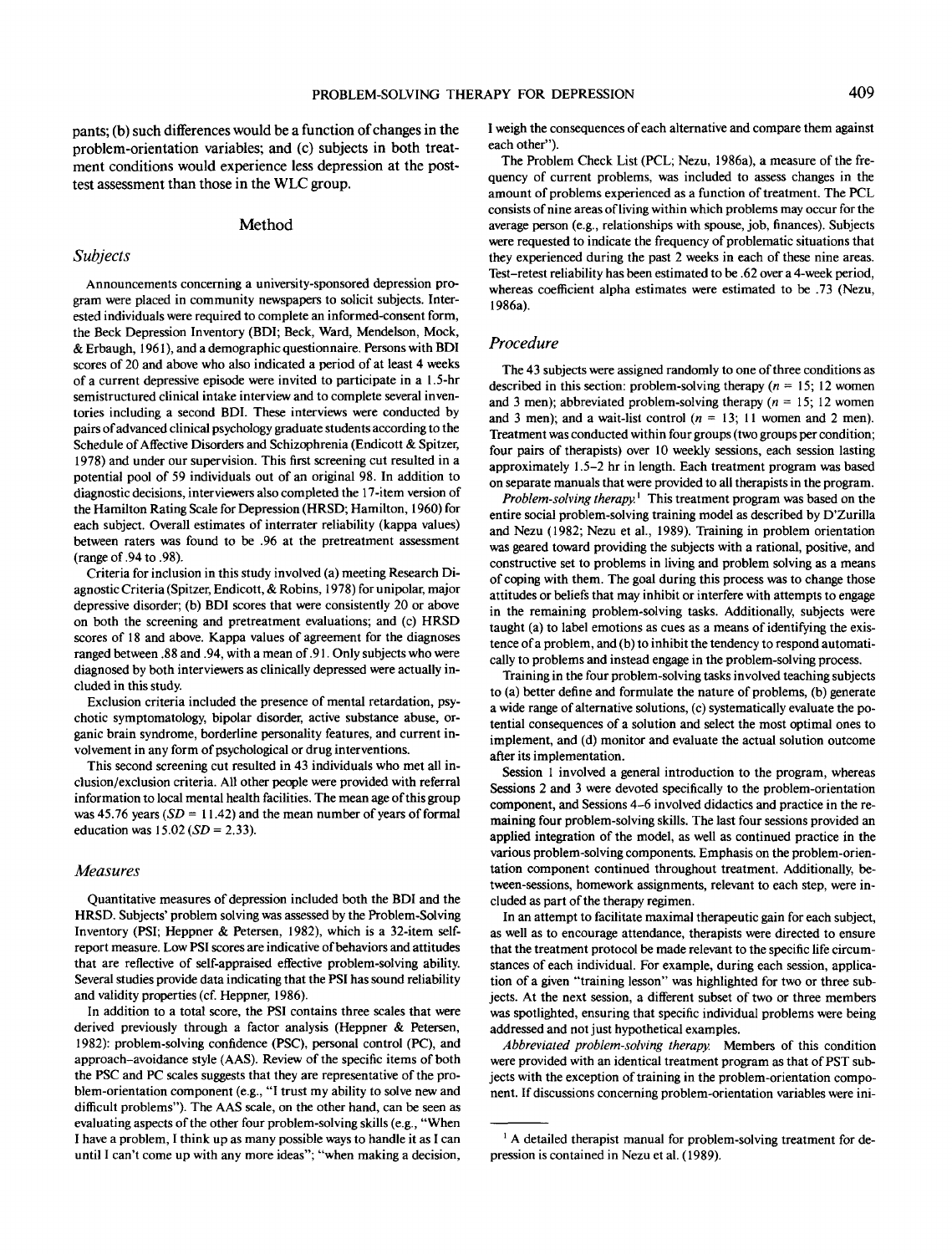pants; (b) such differences would be a function of changes in the problem-orientation variables; and (c) subjects in both treatment conditions would experience less depression at the posttest assessment than those in the WLC group.

#### Method

#### *Subjects*

Announcements concerning a university-sponsored depression program were placed in community newspapers to solicit subjects. Interested individuals were required to complete an informed-consent form, the Beck Depression Inventory (BDI; Beck, Ward, Mendelson, Mock, & Erbaugh, 1961), and a demographic questionnaire. Persons with BDI scores of 20 and above who also indicated a period of at least 4 weeks of a current depressive episode were invited to participate in a 1.5-hr semistructured clinical intake interview and to complete several inventories including a second BDI. These interviews were conducted by pairs of advanced clinical psychology graduate students according to the Schedule of Affective Disorders and Schizophrenia (Endicott & Spitzer, 1978) and under our supervision. This first screening cut resulted in a potential pool of 59 individuals out of an original 98. In addition to diagnostic decisions, interviewers also completed the 17-item version of the Hamilton Rating Scale for Depression (HRSD; Hamilton, 1960) for each subject. Overall estimates of interrater reliability (kappa values) between raters was found to be .96 at the pretreatment assessment (range of .94 to .98).

Criteria for inclusion in this study involved (a) meeting Research Diagnostic Criteria (Spitzer, Endicott, & Robins, 1978) for unipolar, major depressive disorder; (b) BDI scores that were consistently 20 or above on both the screening and pretreatment evaluations; and (c) HRSD scores of 18 and above. Kappa values of agreement for the diagnoses ranged between .88 and .94, with a mean of .91. Only subjects who were diagnosed by both interviewers as clinically depressed were actually included in this study.

Exclusion criteria included the presence of mental retardation, psychotic symptomatology, bipolar disorder, active substance abuse, organic brain syndrome, borderline personality features, and current involvement in any form of psychological or drug interventions.

This second screening cut resulted in 43 individuals who met all inclusion/exclusion criteria. All other people were provided with referral information to local mental health facilities. The mean age of this group was  $45.76$  years  $(SD = 11.42)$  and the mean number of years of formal education was 15.02 *(SD =* 2.33).

## *Measures*

Quantitative measures of depression included both the BDI and the HRSD. Subjects' problem solving was assessed by the Problem-Solving Inventory (PSI; Heppner & Petersen, 1982), which is a 32-item selfreport measure. Low PSI scores are indicative of behaviors and attitudes that are reflective of self-appraised effective problem-solving ability. Several studies provide data indicating that the PSI has sound reliability and validity properties (cf. Heppner, 1986).

In addition to a total score, the PSI contains three scales that were derived previously through a factor analysis (Heppner & Petersen, 1982): problem-solving confidence (PSC), personal control (PC), and approach-avoidance style (AAS). Review of the specific items of both the PSC and PC scales suggests that they are representative of the problem-orientation component (e.g., "I trust my ability to solve new and difficult problems"). The AAS scale, on the other hand, can be seen as evaluating aspects of the other four problem-solving skills (e.g., "When I have a problem, I think up as many possible ways to handle it as I can until I can't come up with any more ideas"; "when making a decision,

I weigh the consequences of each alternative and compare them against each other").

The Problem Check List (PCL; Nezu, 1986a), a measure of the frequency of current problems, was included to assess changes in the amount of problems experienced as a function of treatment. The PCL consists of nine areas of living within which problems may occur for the average person (e.g., relationships with spouse, job, finances). Subjects were requested to indicate the frequency of problematic situations that they experienced during the past 2 weeks in each of these nine areas. Test-retest reliability has been estimated to be .62 over a 4-week period, whereas coefficient alpha estimates were estimated to be .73 (Nezu, 1986a).

## *Procedure*

The 43 subjects were assigned randomly to one of three conditions as described in this section: problem-solving therapy *(n* = 15; 12 women and 3 men); abbreviated problem-solving therapy  $(n = 15; 12$  women and 3 men); and a wait-list control  $(n = 13; 11)$  women and 2 men). Treatment was conducted within four groups (two groups per condition; four pairs of therapists) over 10 weekly sessions, each session lasting approximately 1.5-2 hr in length. Each treatment program was based on separate manuals that were provided to all therapists in the program.

*Problem-solving therapy.*' This treatment program was based on the entire social problem-solving training model as described by D'Zurilla and Nezu (1982; Nezu et al., 1989). Training in problem orientation was geared toward providing the subjects with a rational, positive, and constructive set to problems in living and problem solving as a means of coping with them. The goal during this process was to change those attitudes or beliefs that may inhibit or interfere with attempts to engage in the remaining problem-solving tasks. Additionally, subjects were taught (a) to label emotions as cues as a means of identifying the existence of a problem, and (b) to inhibit the tendency to respond automatically to problems and instead engage in the problem-solving process.

Training in the four problem-solving tasks involved teaching subjects to (a) better define and formulate the nature of problems, (b) generate a wide range of alternative solutions, (c) systematically evaluate the potential consequences of a solution and select the most optimal ones to implement, and (d) monitor and evaluate the actual solution outcome after its implementation.

Session 1 involved a general introduction to the program, whereas Sessions 2 and 3 were devoted specifically to the problem-orientation component, and Sessions 4-6 involved didactics and practice in the remaining four problem-solving skills. The last four sessions provided an applied integration of the model, as well as continued practice in the various problem-solving components. Emphasis on the problem-orientation component continued throughout treatment. Additionally, between-sessions, homework assignments, relevant to each step, were included as part of the therapy regimen.

In an attempt to facilitate maximal therapeutic gain for each subject, as well as to encourage attendance, therapists were directed to ensure that the treatment protocol be made relevant to the specific life circumstances of each individual. For example, during each session, application of a given "training lesson" was highlighted for two or three subjects. At the next session, a different subset of two or three members was spotlighted, ensuring that specific individual problems were being addressed and not just hypothetical examples.

*Abbreviated problem-solving therapy.* Members of this condition were provided with an identical treatment program as that of PST subjects with the exception of training in the problem-orientation component. If discussions concerning problem-orientation variables were ini-

<sup>&</sup>lt;sup>1</sup> A detailed therapist manual for problem-solving treatment for depression is contained in Nezu et al. (1989).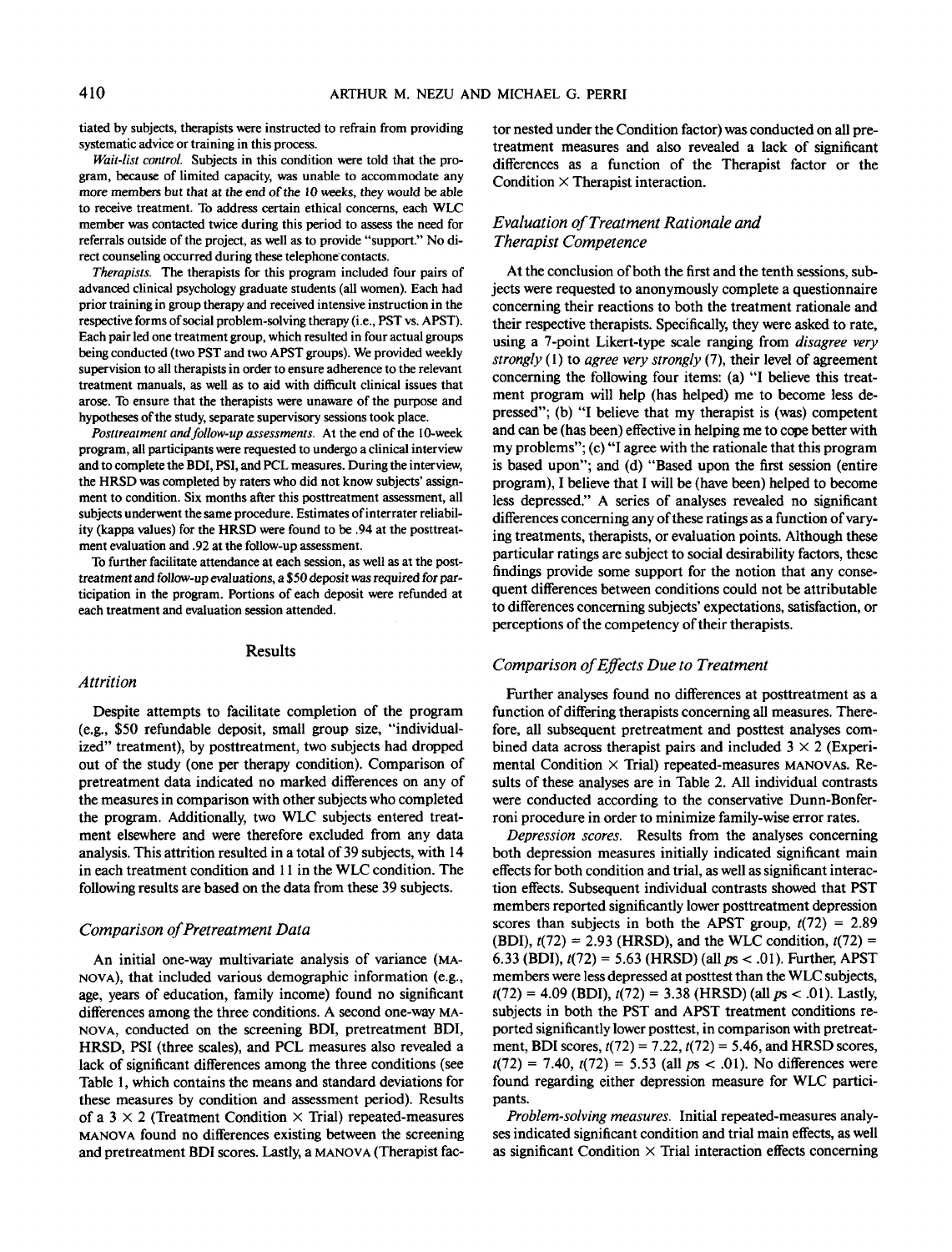tiated by subjects, therapists were instructed to refrain from providing systematic advice or training in this process.

*Wait-list control.* Subjects in this condition were told that the program, because of limited capacity, was unable to accommodate any more members but that at the end of the 10 weeks, they would be able to receive treatment. To address certain ethical concerns, each WLC member was contacted twice during this period to assess the need for referrals outside of the project, as well as to provide "support." No direct counseling occurred during these telephone contacts.

*Therapists.* The therapists for this program included four pairs of advanced clinical psychology graduate students (all women). Each had prior training in group therapy and received intensive instruction in the respective forms of social problem-solving therapy (i.e., PST vs. APST). Each pair led one treatment group, which resulted in four actual groups being conducted (two PST and two APST groups). We provided weekly supervision to all therapists in order to ensure adherence to the relevant treatment manuals, as well as to aid with difficult clinical issues that arose. To ensure that the therapists were unaware of the purpose and hypotheses of the study, separate supervisory sessions took place.

*Posttreatment and follow-up assessments.* At the end of the 10-week program, all participants were requested to undergo a clinical interview and to complete the BDI, PSI, and PCL measures. During the interview, the HRSD was completed by raters who did not know subjects' assignment to condition. Six months after this posttreatment assessment, all subjects underwent the same procedure. Estimates of interrater reliability (kappa values) for the HRSD were found to be .94 at the posttreatment evaluation and .92 at the follow-up assessment.

To further facilitate attendance at each session, as well as at the posttreatment and follow-up evaluations, a \$50 deposit was required for participation in the program. Portions of each deposit were refunded at each treatment and evaluation session attended.

#### Results

#### *Attrition*

Despite attempts to facilitate completion of the program (e.g., \$50 refundable deposit, small group size, "individualized" treatment), by posttreatment, two subjects had dropped out of the study (one per therapy condition). Comparison of pretreatment data indicated no marked diiferences on any of the measures in comparison with other subjects who completed the program. Additionally, two WLC subjects entered treatment elsewhere and were therefore excluded from any data analysis. This attrition resulted in a total of 39 subjects, with 14 in each treatment condition and 11 in the WLC condition. The following results are based on the data from these 39 subjects.

#### *Comparison of Pretreatment Data*

An initial one-way multivariate analysis of variance (MA-NOVA), that included various demographic information (e.g., age, years of education, family income) found no significant differences among the three conditions. A second one-way MA-NOVA, conducted on the screening BDI, pretreatment BDI, HRSD, PSI (three scales), and PCL measures also revealed a lack of significant differences among the three conditions (see Table 1, which contains the means and standard deviations for these measures by condition and assessment period). Results of a  $3 \times 2$  (Treatment Condition  $\times$  Trial) repeated-measures MANOVA found no differences existing between the screening and pretreatment BDI scores. Lastly, a MANOVA (Therapist factor nested under the Condition factor) was conducted on all pretreatment measures and also revealed a lack of significant differences as a function of the Therapist factor or the Condition  $\times$  Therapist interaction.

# *Evaluation of Treatment Rationale and Therapist Competence*

At the conclusion of both the first and the tenth sessions, subjects were requested to anonymously complete a questionnaire concerning their reactions to both the treatment rationale and their respective therapists. Specifically, they were asked to rate, using a 7-point Likert-type scale ranging from *disagree very strongly* (1) to *agree very strongly* (7), their level of agreement concerning the following four items: (a) "I believe this treatment program will help (has helped) me to become less depressed"; (b) "I believe that my therapist is (was) competent and can be (has been) effective in helping me to cope better with my problems"; (c) "I agree with the rationale that this program is based upon"; and (d) "Based upon the first session (entire program), I believe that I will be (have been) helped to become less depressed." A series of analyses revealed no significant differences concerning any of these ratings as a function of varying treatments, therapists, or evaluation points. Although these particular ratings are subject to social desirability factors, these findings provide some support for the notion that any consequent differences between conditions could not be attributable to differences concerning subjects' expectations, satisfaction, or perceptions of the competency of their therapists.

## *Comparison of Effects Due to Treatment*

Further analyses found no differences at posttreatment as a function of differing therapists concerning all measures. Therefore, all subsequent pretreatment and posttest analyses combined data across therapist pairs and included  $3 \times 2$  (Experimental Condition  $\times$  Trial) repeated-measures MANOVAs. Results of these analyses are in Table 2. All individual contrasts were conducted according to the conservative Dunn-Bonferroni procedure in order to minimize family-wise error rates.

*Depression scores.* Results from the analyses concerning both depression measures initially indicated significant main effects for both condition and trial, as well as significant interaction effects. Subsequent individual contrasts showed that PST members reported significantly lower posttreatment depression scores than subjects in both the APST group,  $t(72) = 2.89$ (BDI), *t(72)* = 2.93 (HRSD), and the WLC condition, *t(12) =* 6.33 (BDI),  $t(72) = 5.63$  (HRSD) (all  $ps < .01$ ). Further, APST members were less depressed at posttest than the WLC subjects,  $t(72) = 4.09$  (BDI),  $t(72) = 3.38$  (HRSD) (all  $ps < .01$ ). Lastly, subjects in both the PST and APST treatment conditions reported significantly lower posttest, in comparison with pretreatment, BDI scores, *t(12) =* 7.22, *t(12) =* 5.46, and HRSD scores,  $t(72) = 7.40$ ,  $t(72) = 5.53$  (all  $ps < .01$ ). No differences were found regarding either depression measure for WLC participants.

*Problem-solving measures.* Initial repeated-measures analyses indicated significant condition and trial main effects, as well as significant Condition  $\times$  Trial interaction effects concerning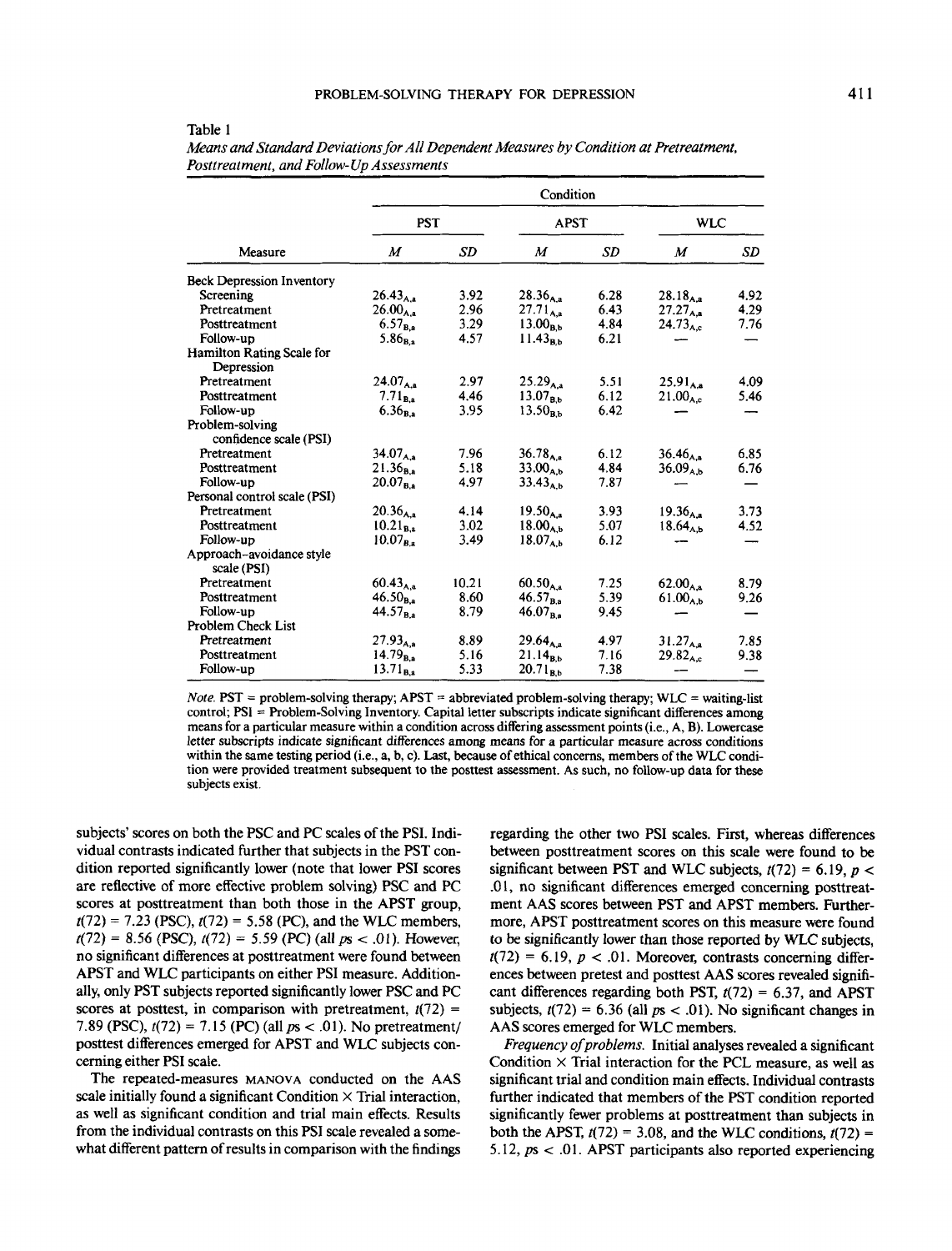|--|--|

| Measure                                   | Condition      |           |                |           |                     |      |  |
|-------------------------------------------|----------------|-----------|----------------|-----------|---------------------|------|--|
|                                           | <b>PST</b>     |           | <b>APST</b>    |           | <b>WLC</b>          |      |  |
|                                           | M              | <b>SD</b> | М              | <b>SD</b> | M                   | SD   |  |
| <b>Beck Depression Inventory</b>          |                |           |                |           |                     |      |  |
| Screening                                 | $26.43_{A.a.}$ | 3.92      | $28.36_{A,a}$  | 6.28      | $28.18_{A.a}$       | 4.92 |  |
| Pretreatment                              | $26.00_{A,a}$  | 2.96      | $27.71_{A,a}$  | 6.43      | $27.27_{A,a}$       | 4.29 |  |
| Posttreatment                             | $6.57_{B,a}$   | 3.29      | $13.00_{B,b}$  | 4.84      | $24.73_{A.c.}$      | 7.76 |  |
| Follow-up                                 | $5.86_{B,a}$   | 4.57      | $11.43_{B.b.}$ | 6.21      |                     |      |  |
| Hamilton Rating Scale for<br>Depression   |                |           |                |           |                     |      |  |
| Pretreatment                              | $24.07_{A,a}$  | 2.97      | $25.29_{A,a}$  | 5.51      | $25.91_{A.a.}$      | 4.09 |  |
| Posttreatment                             | $7.71_{B,a}$   | 4.46      | $13.07_{B,b}$  | 6.12      | 21.00 <sub>AC</sub> | 5.46 |  |
| Follow-up                                 | $6.36_{B,a}$   | 3.95      | $13.50_{B,b}$  | 6.42      |                     |      |  |
| Problem-solving<br>confidence scale (PSI) |                |           |                |           |                     |      |  |
| Pretreatment                              | $34.07_{A,a}$  | 7.96      | $36.78_{A.8}$  | 6.12      | $36.46_{A,a}$       | 6.85 |  |
| Posttreatment                             | $21.36_{B.a}$  | 5.18      | $33.00_{A,b}$  | 4.84      | $36.09_{A,b}$       | 6.76 |  |
| Follow-up                                 | $20.07_{B,a}$  | 4.97      | $33.43_{A,b}$  | 7.87      |                     |      |  |
| Personal control scale (PSI)              |                |           |                |           |                     |      |  |
| Pretreatment                              | $20.36_{A,a}$  | 4.14      | $19.50_{A,a}$  | 3.93      | $19.36_{A,a}$       | 3.73 |  |
| Posttreatment                             | $10.21_{B,a}$  | 3.02      | $18.00_{A,b}$  | 5.07      | $18.64_{A,b}$       | 4.52 |  |
| Follow-up                                 | $10.07_{Ba}$   | 3.49      | $18.07_{A,b}$  | 6.12      |                     |      |  |
| Approach-avoidance style<br>scale (PSI)   |                |           |                |           |                     |      |  |
| Pretreatment                              | $60.43_{A,a}$  | 10.21     | $60.50_{A,a}$  | 7.25      | $62.00_{A.a.}$      | 8.79 |  |
| Posttreatment                             | $46.50_{B.a.}$ | 8.60      | $46.57_{B,a}$  | 5.39      | $61.00_{A,h}$       | 9.26 |  |
| Follow-up                                 | $44.57_{Ba}$   | 8.79      | $46.07_{B,a}$  | 9.45      |                     |      |  |
| <b>Problem Check List</b>                 |                |           |                |           |                     |      |  |
| Pretreatment                              | $27.93_{A,B}$  | 8.89      | $29.64_{A,a}$  | 4.97      | $31.27_{A,a}$       | 7.85 |  |
| Posttreatment                             | $14.79_{B,a}$  | 5.16      | $21.14_{B,b}$  | 7.16      | $29.82_{A,c}$       | 9.38 |  |
| Follow-up                                 | $13.71_{B,a}$  | 5.33      | $20.71_{B,b}$  | 7.38      |                     |      |  |

*Means and Standard Deviations for All Dependent Measures by Condition at Pretreatment, Posttreatment, and Follow- Up Assessments*

*Note.* PST = problem-solving therapy; APST = abbreviated problem-solving therapy; WLC = waiting-list control; PSI = Problem-Solving Inventory. Capital letter subscripts indicate significant differences among means for a particular measure within a condition across differing assessment points (i.e., A, B). Lowercase letter subscripts indicate significant differences among means for a particular measure across conditions within the same testing period (i.e., a, b, c). Last, because of ethical concerns, members of the WLC condition were provided treatment subsequent to the posttest assessment. As such, no follow-up data for these subjects exist.

subjects' scores on both the PSC and PC scales of the PSI. Individual contrasts indicated further that subjects in the PST condition reported significantly lower (note that lower PSI scores are reflective of more effective problem solving) PSC and PC scores at posttreatment than both those in the APST group,  $t(72) = 7.23$  (PSC),  $t(72) = 5.58$  (PC), and the WLC members,  $f(72) = 8.56$  (PSC),  $f(72) = 5.59$  (PC) (all  $p_s < .01$ ). However, no significant differences at posttreatment were found between APST and WLC participants on either PSI measure. Additionally, only PST subjects reported significantly lower PSC and PC scores at posttest, in comparison with pretreatment,  $t(72)$  = 7.89 (PSC),  $t(72) = 7.15$  (PC) (all  $ps < .01$ ). No pretreatment/ posttest differences emerged for APST and WLC subjects concerning either PSI scale.

The repeated-measures MANOVA conducted on the AAS scale initially found a significant Condition  $\times$  Trial interaction, as well as significant condition and trial main effects. Results from the individual contrasts on this PSI scale revealed a somewhat different pattern of results in comparison with the findings

regarding the other two PSI scales. First, whereas differences between posttreatment scores on this scale were found to be significant between PST and WLC subjects, 472) = 6.19, *p <* .01, no significant differences emerged concerning posttreatment AAS scores between PST and APST members. Furthermore, APST posttreatment scores on this measure were found to be significantly lower than those reported by WLC subjects,  $t(72) = 6.19$ ,  $p < .01$ . Moreover, contrasts concerning differences between pretest and posttest AAS scores revealed significant differences regarding both PST,  $t(72) = 6.37$ , and APST subjects,  $t(72) = 6.36$  (all  $ps < .01$ ). No significant changes in AAS scores emerged for WLC members.

*Frequency of problems.* Initial analyses revealed a significant Condition  $\times$  Trial interaction for the PCL measure, as well as significant trial and condition main effects. Individual contrasts further indicated that members of the PST condition reported significantly fewer problems at posttreatment than subjects in both the APST,  $t(72) = 3.08$ , and the WLC conditions,  $t(72) =$ 5.12, *ps <* .01. APST participants also reported experiencing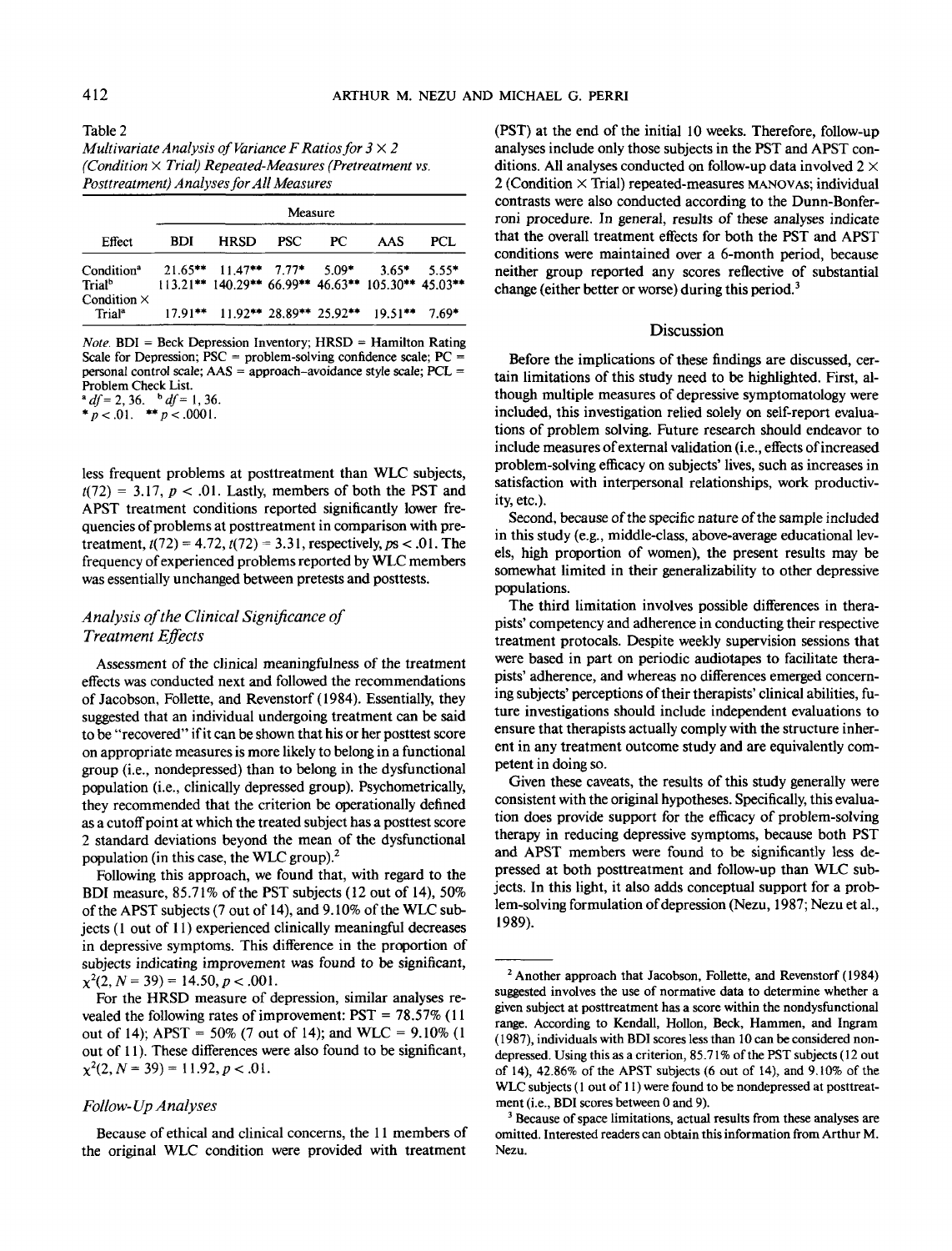Table 2 *Multivariate Analysis of Variance F Ratios for 3X2 (Condition* X *Trial) Repeated-Measures (Pretreatment vs. Posttreatment) Analyses for All Measures*

|                                                                    | Measure    |                                |            |     |                                                               |         |  |
|--------------------------------------------------------------------|------------|--------------------------------|------------|-----|---------------------------------------------------------------|---------|--|
| Effect                                                             | <b>BDI</b> | <b>HRSD</b>                    | <b>PSC</b> | PC. | AAS                                                           | PCL     |  |
| Condition <sup>a</sup><br>Trial <sup>b</sup><br>Condition $\times$ |            | $21.65***$ 11.47** 7.77* 5.09* |            |     | $3.65*$<br>113.21** 140.29** 66.99** 46.63** 105.30** 45.03** | $5.55*$ |  |
| Trial <sup>a</sup>                                                 |            |                                |            |     | $17.91***$ 11.92** 28.89** 25.92** 19.51**                    | $7.69*$ |  |

*Note.* BDI = Beck Depression Inventory; HRSD = Hamilton Rating Scale for Depression;  $PSC =$  problem-solving confidence scale;  $PC =$ personal control scale; AAS = approach-avoidance style scale; PCL = Problem Check List.

*\*df=2,36.<sup>b</sup>df=l,36.*

\*  $p < .01.$  \*\*  $p < .0001.$ 

less frequent problems at posttreatment than WLC subjects,  $t(72) = 3.17$ ,  $p < .01$ . Lastly, members of both the PST and APST treatment conditions reported significantly lower frequencies of problems at posttreatment in comparison with pretreatment,  $t(72) = 4.72$ ,  $t(72) = 3.31$ , respectively,  $ps < .01$ . The frequency of experienced problems reported by WLC members was essentially unchanged between pretests and posttests.

# *Analysis of the Clinical Significance of Treatment Effects*

Assessment of the clinical meaningfulness of the treatment effects was conducted next and followed the recommendations of Jacobson, Follette, and Revenstorf (1984). Essentially, they suggested that an individual undergoing treatment can be said to be "recovered" if it can be shown that his or her posttest score on appropriate measures is more likely to belong in a functional group (i.e., nondepressed) than to belong in the dysfunctional population (i.e., clinically depressed group). Psychometrically, they recommended that the criterion be operationally defined as a cutoff point at which the treated subject has a posttest score 2 standard deviations beyond the mean of the dysfunctional population (in this case, the WLC group).<sup>2</sup>

Following this approach, we found that, with regard to the BDI measure, 85.71% of the PST subjects (12 out of 14), 50% of the APST subjects (7 out of 14), and 9.10% of the WLC subjects (1 out of 11) experienced clinically meaningful decreases in depressive symptoms. This difference in the proportion of subjects indicating improvement was found to be significant,  $\chi^2$ (2, N = 39) = 14.50, p < .001.

For the HRSD measure of depression, similar analyses revealed the following rates of improvement: PST = 78.57% (11 out of 14); APST = 50% (7 out of 14); and WLC = 9.10% (1 out of 11). These differences were also found to be significant,  $\chi^2(2, N = 39) = 11.92, p < .01.$ 

# *Follow- Up Analyses*

Because of ethical and clinical concerns, the 11 members of the original WLC condition were provided with treatment

(PST) at the end of the initial 10 weeks. Therefore, follow-up analyses include only those subjects in the PST and APST conditions. All analyses conducted on follow-up data involved  $2 \times$ 2 (Condition X Trial) repeated-measures MANOVAS; individual contrasts were also conducted according to the Dunn-Bonferroni procedure. In general, results of these analyses indicate that the overall treatment effects for both the PST and APST conditions were maintained over a 6-month period, because neither group reported any scores reflective of substantial change (either better or worse) during this period.<sup>3</sup>

#### Discussion

Before the implications of these findings are discussed, certain limitations of this study need to be highlighted. First, although multiple measures of depressive symptomatology were included, this investigation relied solely on self-report evaluations of problem solving. Future research should endeavor to include measures of external validation (i.e., effects of increased problem-solving efficacy on subjects' lives, such as increases in satisfaction with interpersonal relationships, work productivity, etc.).

Second, because of the specific nature of the sample included in this study (e.g., middle-class, above-average educational levels, high proportion of women), the present results may be somewhat limited in their generalizability to other depressive populations.

The third limitation involves possible differences in therapists' competency and adherence in conducting their respective treatment protocals. Despite weekly supervision sessions that were based in part on periodic audiotapes to facilitate therapists' adherence, and whereas no differences emerged concerning subjects' perceptions of their therapists' clinical abilities, future investigations should include independent evaluations to ensure that therapists actually comply with the structure inherent in any treatment outcome study and are equivalently competent in doing so.

Given these caveats, the results of this study generally were consistent with the original hypotheses. Specifically, this evaluation does provide support for the efficacy of problem-solving therapy in reducing depressive symptoms, because both PST and APST members were found to be significantly less depressed at both posttreatment and follow-up than WLC subjects. In this light, it also adds conceptual support for a problem-solving formulation of depression (Nezu, 1987; Nezu et al., 1989).

<sup>&</sup>lt;sup>2</sup> Another approach that Jacobson, Follette, and Revenstorf (1984) suggested involves the use of normative data to determine whether a given subject at posttreatment has a score within the nondysfunctional range. According to Kendall, Hollon, Beck, Hammen, and Ingram (1987), individuals with BDI scores less than 10 can be considered nondepressed. Using this as a criterion, 85.71% of the PST subjects (12 out of 14), 42.86% of the APST subjects (6 out of 14), and 9.10% of the WLC subjects (1 out of 11) were found to be nondepressed at posttreatment (i.e., BDI scores between 0 and 9).

<sup>&</sup>lt;sup>3</sup> Because of space limitations, actual results from these analyses are omitted. Interested readers can obtain this information from Arthur M. Nezu.